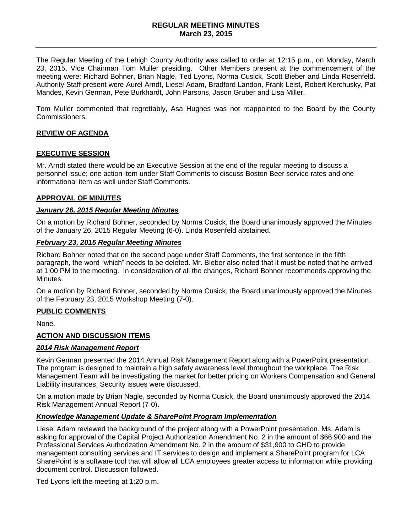#### **REGULAR MEETING MINUTES March 23, 2015**

The Regular Meeting of the Lehigh County Authority was called to order at 12:15 p.m., on Monday, March 23, 2015, Vice Chairman Tom Muller presiding. Other Members present at the commencement of the meeting were: Richard Bohner, Brian Nagle, Ted Lyons, Norma Cusick, Scott Bieber and Linda Rosenfeld. Authority Staff present were Aurel Arndt, Liesel Adam, Bradford Landon, Frank Leist, Robert Kerchusky, Pat Mandes, Kevin German, Pete Burkhardt, John Parsons, Jason Gruber and Lisa Miller.

Tom Muller commented that regrettably, Asa Hughes was not reappointed to the Board by the County Commissioners.

# **REVIEW OF AGENDA**

# **EXECUTIVE SESSION**

Mr. Arndt stated there would be an Executive Session at the end of the regular meeting to discuss a personnel issue; one action item under Staff Comments to discuss Boston Beer service rates and one informational item as well under Staff Comments.

### **APPROVAL OF MINUTES**

### *January 26, 2015 Regular Meeting Minutes*

On a motion by Richard Bohner, seconded by Norma Cusick, the Board unanimously approved the Minutes of the January 26, 2015 Regular Meeting (6-0). Linda Rosenfeld abstained.

### *February 23, 2015 Regular Meeting Minutes*

Richard Bohner noted that on the second page under Staff Comments, the first sentence in the fifth paragraph, the word "which" needs to be deleted. Mr. Bieber also noted that it must be noted that he arrived at 1:00 PM to the meeting. In consideration of all the changes, Richard Bohner recommends approving the Minutes.

On a motion by Richard Bohner, seconded by Norma Cusick, the Board unanimously approved the Minutes of the February 23, 2015 Workshop Meeting (7-0).

# **PUBLIC COMMENTS**

None.

# **ACTION AND DISCUSSION ITEMS**

# *2014 Risk Management Report*

Kevin German presented the 2014 Annual Risk Management Report along with a PowerPoint presentation. The program is designed to maintain a high safety awareness level throughout the workplace. The Risk Management Team will be investigating the market for better pricing on Workers Compensation and General Liability insurances. Security issues were discussed.

On a motion made by Brian Nagle, seconded by Norma Cusick, the Board unanimously approved the 2014 Risk Management Annual Report (7-0).

### *Knowledge Management Update & SharePoint Program Implementation*

Liesel Adam reviewed the background of the project along with a PowerPoint presentation. Ms. Adam is asking for approval of the Capital Project Authorization Amendment No. 2 in the amount of \$66,900 and the Professional Services Authorization Amendment No. 2 in the amount of \$31,900 to GHD to provide management consulting services and IT services to design and implement a SharePoint program for LCA. SharePoint is a software tool that will allow all LCA employees greater access to information while providing document control. Discussion followed.

Ted Lyons left the meeting at 1:20 p.m.